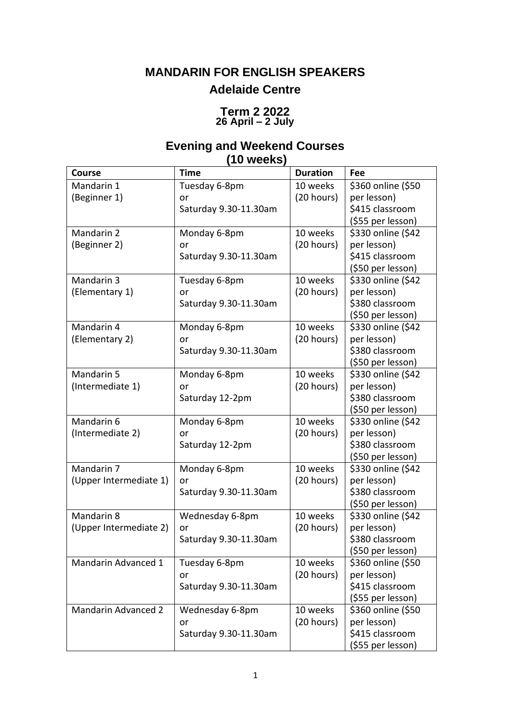# **MANDARIN FOR ENGLISH SPEAKERS Adelaide Centre**

#### **Term 2 2022 26 April – 2 July**

## **Evening and Weekend Courses (10 weeks)**

| <b>Course</b>              | <b>Time</b>           | <b>Duration</b> | Fee                |
|----------------------------|-----------------------|-----------------|--------------------|
| Mandarin 1                 | Tuesday 6-8pm         | 10 weeks        | \$360 online (\$50 |
| (Beginner 1)               | or                    | (20 hours)      | per lesson)        |
|                            | Saturday 9.30-11.30am |                 | \$415 classroom    |
|                            |                       |                 | (\$55 per lesson)  |
| Mandarin 2                 | Monday 6-8pm          | 10 weeks        | \$330 online (\$42 |
| (Beginner 2)               | or                    | (20 hours)      | per lesson)        |
|                            | Saturday 9.30-11.30am |                 | \$415 classroom    |
|                            |                       |                 | (\$50 per lesson)  |
| Mandarin 3                 | Tuesday 6-8pm         | 10 weeks        | \$330 online (\$42 |
| (Elementary 1)             | or                    | (20 hours)      | per lesson)        |
|                            | Saturday 9.30-11.30am |                 | \$380 classroom    |
|                            |                       |                 | (\$50 per lesson)  |
| Mandarin 4                 | Monday 6-8pm          | 10 weeks        | \$330 online (\$42 |
| (Elementary 2)             | or                    | (20 hours)      | per lesson)        |
|                            | Saturday 9.30-11.30am |                 | \$380 classroom    |
|                            |                       |                 | (\$50 per lesson)  |
| Mandarin 5                 | Monday 6-8pm          | 10 weeks        | \$330 online (\$42 |
| (Intermediate 1)           | or                    | (20 hours)      | per lesson)        |
|                            | Saturday 12-2pm       |                 | \$380 classroom    |
|                            |                       |                 | (\$50 per lesson)  |
| Mandarin 6                 | Monday 6-8pm          | 10 weeks        | \$330 online (\$42 |
| (Intermediate 2)           | or                    | (20 hours)      | per lesson)        |
|                            | Saturday 12-2pm       |                 | \$380 classroom    |
|                            |                       |                 | (\$50 per lesson)  |
| Mandarin 7                 | Monday 6-8pm          | 10 weeks        | \$330 online (\$42 |
| (Upper Intermediate 1)     | or                    | (20 hours)      | per lesson)        |
|                            | Saturday 9.30-11.30am |                 | \$380 classroom    |
|                            |                       |                 | (\$50 per lesson)  |
| Mandarin 8                 | Wednesday 6-8pm       | 10 weeks        | \$330 online (\$42 |
| (Upper Intermediate 2)     | or                    | (20 hours)      | per lesson)        |
|                            | Saturday 9.30-11.30am |                 | \$380 classroom    |
|                            |                       |                 | (\$50 per lesson)  |
| Mandarin Advanced 1        | Tuesday 6-8pm         | 10 weeks        | \$360 online (\$50 |
|                            | or                    | (20 hours)      | per lesson)        |
|                            | Saturday 9.30-11.30am |                 | \$415 classroom    |
|                            |                       |                 | (\$55 per lesson)  |
| <b>Mandarin Advanced 2</b> | Wednesday 6-8pm       | 10 weeks        | \$360 online (\$50 |
|                            | or                    | (20 hours)      | per lesson)        |
|                            | Saturday 9.30-11.30am |                 | \$415 classroom    |
|                            |                       |                 | (\$55 per lesson)  |